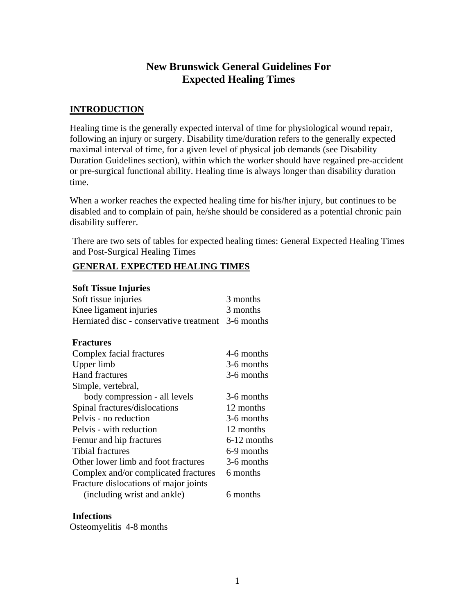## **New Brunswick General Guidelines For Expected Healing Times**

### **INTRODUCTION**

Healing time is the generally expected interval of time for physiological wound repair, following an injury or surgery. Disability time/duration refers to the generally expected maximal interval of time, for a given level of physical job demands (see Disability Duration Guidelines section), within which the worker should have regained pre-accident or pre-surgical functional ability. Healing time is always longer than disability duration time.

When a worker reaches the expected healing time for his/her injury, but continues to be disabled and to complain of pain, he/she should be considered as a potential chronic pain disability sufferer.

There are two sets of tables for expected healing times: General Expected Healing Times and Post-Surgical Healing Times

### **GENERAL EXPECTED HEALING TIMES**

#### **Soft Tissue Injuries**

| Soft tissue injuries                               | 3 months    |
|----------------------------------------------------|-------------|
| Knee ligament injuries                             | 3 months    |
| Herniated disc - conservative treatment 3-6 months |             |
|                                                    |             |
| <b>Fractures</b>                                   |             |
| Complex facial fractures                           | 4-6 months  |
| Upper limb                                         | 3-6 months  |
| <b>Hand fractures</b>                              | 3-6 months  |
| Simple, vertebral,                                 |             |
| body compression - all levels                      | 3-6 months  |
| Spinal fractures/dislocations                      | 12 months   |
| Pelvis - no reduction                              | 3-6 months  |
| Pelvis - with reduction                            | 12 months   |
| Femur and hip fractures                            | 6-12 months |
| <b>Tibial fractures</b>                            | 6-9 months  |
| Other lower limb and foot fractures                | 3-6 months  |
| Complex and/or complicated fractures               | 6 months    |
| Fracture dislocations of major joints              |             |
| (including wrist and ankle)                        | 6 months    |

#### **Infections**

Osteomyelitis 4-8 months